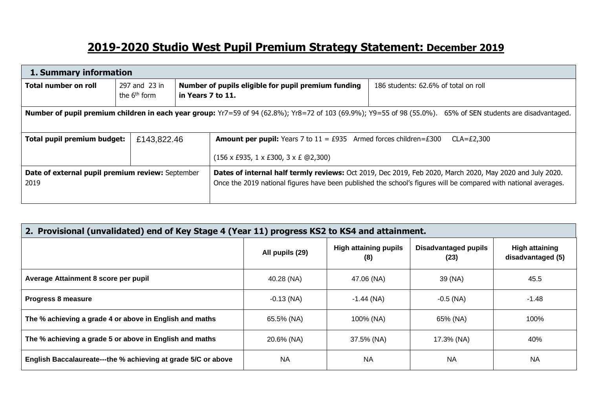## **2019-2020 Studio West Pupil Premium Strategy Statement: December 2019**

| 1. Summary information                                                                                                                                               |                                           |                   |                                                                                                                           |                                                                                                                                                                                                                              |  |  |
|----------------------------------------------------------------------------------------------------------------------------------------------------------------------|-------------------------------------------|-------------------|---------------------------------------------------------------------------------------------------------------------------|------------------------------------------------------------------------------------------------------------------------------------------------------------------------------------------------------------------------------|--|--|
| Total number on roll                                                                                                                                                 | 297 and 23 in<br>the 6 <sup>th</sup> form | in Years 7 to 11. | Number of pupils eligible for pupil premium funding                                                                       | 186 students: 62.6% of total on roll                                                                                                                                                                                         |  |  |
| <b>Number of pupil premium children in each year group:</b> Yr7=59 of 94 (62.8%); Yr8=72 of 103 (69.9%); Y9=55 of 98 (55.0%). 65% of SEN students are disadvantaged. |                                           |                   |                                                                                                                           |                                                                                                                                                                                                                              |  |  |
| Total pupil premium budget:                                                                                                                                          | £143,822,46                               |                   | <b>Amount per pupil:</b> Years 7 to $11 = \text{\pounds}935$ Armed forces children= $\text{\pounds}300$<br>$CLA = £2,300$ |                                                                                                                                                                                                                              |  |  |
|                                                                                                                                                                      |                                           |                   | $(156 \times E935, 1 \times E300, 3 \times E \textcircled{2}, 300)$                                                       |                                                                                                                                                                                                                              |  |  |
| Date of external pupil premium review: September<br>2019                                                                                                             |                                           |                   |                                                                                                                           | Dates of internal half termly reviews: Oct 2019, Dec 2019, Feb 2020, March 2020, May 2020 and July 2020.<br>Once the 2019 national figures have been published the school's figures will be compared with national averages. |  |  |

| 2. Provisional (unvalidated) end of Key Stage 4 (Year 11) progress KS2 to KS4 and attainment. |                 |                                     |                              |                                     |  |  |  |
|-----------------------------------------------------------------------------------------------|-----------------|-------------------------------------|------------------------------|-------------------------------------|--|--|--|
|                                                                                               | All pupils (29) | <b>High attaining pupils</b><br>(8) | Disadvantaged pupils<br>(23) | High attaining<br>disadvantaged (5) |  |  |  |
| Average Attainment 8 score per pupil                                                          | 40.28 (NA)      | 47.06 (NA)                          | 39 (NA)                      | 45.5                                |  |  |  |
| Progress 8 measure                                                                            | $-0.13$ (NA)    | $-1.44$ (NA)                        | $-0.5$ (NA)                  | $-1.48$                             |  |  |  |
| The % achieving a grade 4 or above in English and maths                                       | 65.5% (NA)      | 100% (NA)                           | 65% (NA)                     | 100%                                |  |  |  |
| The % achieving a grade 5 or above in English and maths                                       | 20.6% (NA)      | 37.5% (NA)                          | 17.3% (NA)                   | 40%                                 |  |  |  |
| English Baccalaureate---the % achieving at grade 5/C or above                                 | <b>NA</b>       | <b>NA</b>                           | <b>NA</b>                    | <b>NA</b>                           |  |  |  |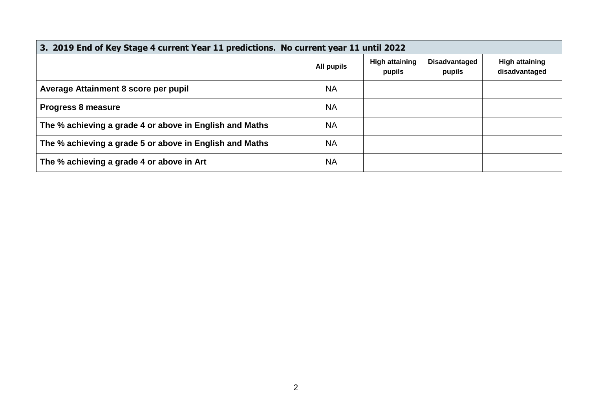| 3. 2019 End of Key Stage 4 current Year 11 predictions. No current year 11 until 2022 |            |                                 |                                |                                        |  |  |  |
|---------------------------------------------------------------------------------------|------------|---------------------------------|--------------------------------|----------------------------------------|--|--|--|
|                                                                                       | All pupils | <b>High attaining</b><br>pupils | <b>Disadvantaged</b><br>pupils | <b>High attaining</b><br>disadvantaged |  |  |  |
| Average Attainment 8 score per pupil                                                  | <b>NA</b>  |                                 |                                |                                        |  |  |  |
| <b>Progress 8 measure</b>                                                             | <b>NA</b>  |                                 |                                |                                        |  |  |  |
| The % achieving a grade 4 or above in English and Maths                               | <b>NA</b>  |                                 |                                |                                        |  |  |  |
| The % achieving a grade 5 or above in English and Maths                               | <b>NA</b>  |                                 |                                |                                        |  |  |  |
| The % achieving a grade 4 or above in Art                                             | <b>NA</b>  |                                 |                                |                                        |  |  |  |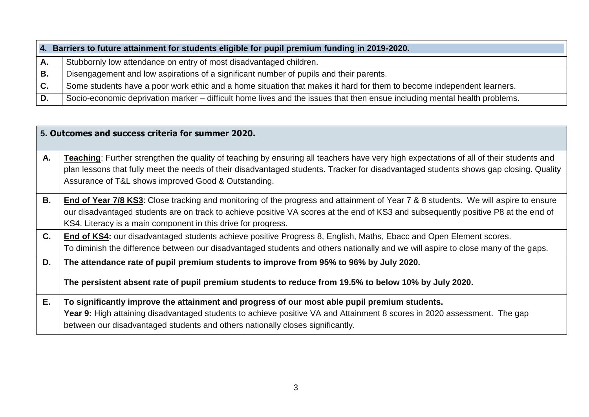|    | 4. Barriers to future attainment for students eligible for pupil premium funding in 2019-2020.                            |  |  |  |  |  |
|----|---------------------------------------------------------------------------------------------------------------------------|--|--|--|--|--|
|    | Stubbornly low attendance on entry of most disadvantaged children.                                                        |  |  |  |  |  |
| В. | Disengagement and low aspirations of a significant number of pupils and their parents.                                    |  |  |  |  |  |
|    | Some students have a poor work ethic and a home situation that makes it hard for them to become independent learners.     |  |  |  |  |  |
|    | Socio-economic deprivation marker – difficult home lives and the issues that then ensue including mental health problems. |  |  |  |  |  |

|    | 5. Outcomes and success criteria for summer 2020.                                                                                      |
|----|----------------------------------------------------------------------------------------------------------------------------------------|
| Α. | Teaching: Further strengthen the quality of teaching by ensuring all teachers have very high expectations of all of their students and |
|    | plan lessons that fully meet the needs of their disadvantaged students. Tracker for disadvantaged students shows gap closing. Quality  |
|    | Assurance of T&L shows improved Good & Outstanding.                                                                                    |
| В. | End of Year 7/8 KS3: Close tracking and monitoring of the progress and attainment of Year 7 & 8 students. We will aspire to ensure     |
|    | our disadvantaged students are on track to achieve positive VA scores at the end of KS3 and subsequently positive P8 at the end of     |
|    | KS4. Literacy is a main component in this drive for progress.                                                                          |
| C. | End of KS4: our disadvantaged students achieve positive Progress 8, English, Maths, Ebacc and Open Element scores.                     |
|    | To diminish the difference between our disadvantaged students and others nationally and we will aspire to close many of the gaps.      |
| D. | The attendance rate of pupil premium students to improve from 95% to 96% by July 2020.                                                 |
|    | The persistent absent rate of pupil premium students to reduce from 19.5% to below 10% by July 2020.                                   |
| Е. | To significantly improve the attainment and progress of our most able pupil premium students.                                          |
|    | Year 9: High attaining disadvantaged students to achieve positive VA and Attainment 8 scores in 2020 assessment. The gap               |
|    | between our disadvantaged students and others nationally closes significantly.                                                         |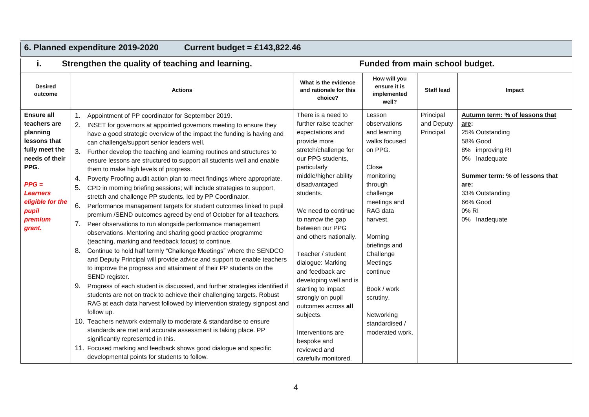## **6. Planned expenditure 2019-2020 Current budget = £143,822.46**

i. Strengthen the quality of teaching and learning. **Funded from main school budget.** 

| <b>Desired</b><br>outcome                                                                                                                                                                 |                                  | <b>Actions</b>                                                                                                                                                                                                                                                                                                                                                                                                                                                                                                                                                                                                                                                                                                                                                                                                                                                                                                                                                                                                                                                                                                                                                                                                                                                                                                                                                                                                                                                                                                                                                                                                                                                                                                                                                                        | What is the evidence<br>and rationale for this<br>choice?                                                                                                                                                                                                                                                                                                                                                                                                                                                                                        | How will you<br>ensure it is<br>implemented<br>well?                                                                                                                                                                                                                                                      | <b>Staff lead</b>                    | Impact                                                                                                                                                                                                       |
|-------------------------------------------------------------------------------------------------------------------------------------------------------------------------------------------|----------------------------------|---------------------------------------------------------------------------------------------------------------------------------------------------------------------------------------------------------------------------------------------------------------------------------------------------------------------------------------------------------------------------------------------------------------------------------------------------------------------------------------------------------------------------------------------------------------------------------------------------------------------------------------------------------------------------------------------------------------------------------------------------------------------------------------------------------------------------------------------------------------------------------------------------------------------------------------------------------------------------------------------------------------------------------------------------------------------------------------------------------------------------------------------------------------------------------------------------------------------------------------------------------------------------------------------------------------------------------------------------------------------------------------------------------------------------------------------------------------------------------------------------------------------------------------------------------------------------------------------------------------------------------------------------------------------------------------------------------------------------------------------------------------------------------------|--------------------------------------------------------------------------------------------------------------------------------------------------------------------------------------------------------------------------------------------------------------------------------------------------------------------------------------------------------------------------------------------------------------------------------------------------------------------------------------------------------------------------------------------------|-----------------------------------------------------------------------------------------------------------------------------------------------------------------------------------------------------------------------------------------------------------------------------------------------------------|--------------------------------------|--------------------------------------------------------------------------------------------------------------------------------------------------------------------------------------------------------------|
| <b>Ensure all</b><br>teachers are<br>planning<br>lessons that<br>fully meet the<br>needs of their<br>PPG.<br>$PPG =$<br><b>Learners</b><br>eligible for the<br>pupil<br>premium<br>grant. | 2.<br>4.<br>5.<br>6.<br>8.<br>9. | Appointment of PP coordinator for September 2019.<br>INSET for governors at appointed governors meeting to ensure they<br>have a good strategic overview of the impact the funding is having and<br>can challenge/support senior leaders well.<br>Further develop the teaching and learning routines and structures to<br>ensure lessons are structured to support all students well and enable<br>them to make high levels of progress.<br>Poverty Proofing audit action plan to meet findings where appropriate.<br>CPD in morning briefing sessions; will include strategies to support,<br>stretch and challenge PP students, led by PP Coordinator.<br>Performance management targets for student outcomes linked to pupil<br>premium /SEND outcomes agreed by end of October for all teachers.<br>Peer observations to run alongside performance management<br>observations. Mentoring and sharing good practice programme<br>(teaching, marking and feedback focus) to continue.<br>Continue to hold half termly "Challenge Meetings" where the SENDCO<br>and Deputy Principal will provide advice and support to enable teachers<br>to improve the progress and attainment of their PP students on the<br>SEND register.<br>Progress of each student is discussed, and further strategies identified if<br>students are not on track to achieve their challenging targets. Robust<br>RAG at each data harvest followed by intervention strategy signpost and<br>follow up.<br>10. Teachers network externally to moderate & standardise to ensure<br>standards are met and accurate assessment is taking place. PP<br>significantly represented in this.<br>11. Focused marking and feedback shows good dialogue and specific<br>developmental points for students to follow. | There is a need to<br>further raise teacher<br>expectations and<br>provide more<br>stretch/challenge for<br>our PPG students,<br>particularly<br>middle/higher ability<br>disadvantaged<br>students.<br>We need to continue<br>to narrow the gap<br>between our PPG<br>and others nationally.<br>Teacher / student<br>dialogue: Marking<br>and feedback are<br>developing well and is<br>starting to impact<br>strongly on pupil<br>outcomes across all<br>subjects.<br>Interventions are<br>bespoke and<br>reviewed and<br>carefully monitored. | Lesson<br>observations<br>and learning<br>walks focused<br>on PPG.<br>Close<br>monitoring<br>through<br>challenge<br>meetings and<br>RAG data<br>harvest.<br>Morning<br>briefings and<br>Challenge<br>Meetings<br>continue<br>Book / work<br>scrutiny.<br>Networking<br>standardised /<br>moderated work. | Principal<br>and Deputy<br>Principal | Autumn term: % of lessons that<br>are:<br>25% Outstanding<br>58% Good<br>8% improving RI<br>0% Inadequate<br>Summer term: % of lessons that<br>are:<br>33% Outstanding<br>66% Good<br>0% RI<br>0% Inadequate |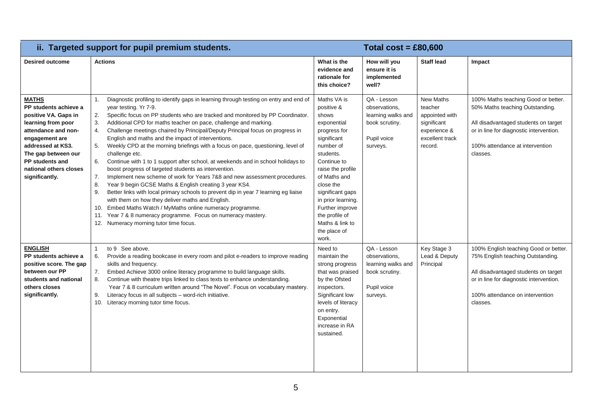| ii. Targeted support for pupil premium students.                                                                                                                                                                                               |                                                                                                                                                                                                                                                                                                                                                                                                                                                                                                                                                                                                                                                                                                                                                                                                                                                                                                                                                                                                                                                                                                                                                                                  | Total $cost = £80,600$                                                                                                                                                                                                                                                                                 |                                                                                                 |                                                                                                            |                                                                                                                                                                                                              |
|------------------------------------------------------------------------------------------------------------------------------------------------------------------------------------------------------------------------------------------------|----------------------------------------------------------------------------------------------------------------------------------------------------------------------------------------------------------------------------------------------------------------------------------------------------------------------------------------------------------------------------------------------------------------------------------------------------------------------------------------------------------------------------------------------------------------------------------------------------------------------------------------------------------------------------------------------------------------------------------------------------------------------------------------------------------------------------------------------------------------------------------------------------------------------------------------------------------------------------------------------------------------------------------------------------------------------------------------------------------------------------------------------------------------------------------|--------------------------------------------------------------------------------------------------------------------------------------------------------------------------------------------------------------------------------------------------------------------------------------------------------|-------------------------------------------------------------------------------------------------|------------------------------------------------------------------------------------------------------------|--------------------------------------------------------------------------------------------------------------------------------------------------------------------------------------------------------------|
| <b>Desired outcome</b>                                                                                                                                                                                                                         | <b>Actions</b>                                                                                                                                                                                                                                                                                                                                                                                                                                                                                                                                                                                                                                                                                                                                                                                                                                                                                                                                                                                                                                                                                                                                                                   | What is the<br>evidence and<br>rationale for<br>this choice?                                                                                                                                                                                                                                           | How will you<br>ensure it is<br>implemented<br>well?                                            | <b>Staff lead</b>                                                                                          | Impact                                                                                                                                                                                                       |
| <b>MATHS</b><br>PP students achieve a<br>positive VA. Gaps in<br>learning from poor<br>attendance and non-<br>engagement are<br>addressed at KS3.<br>The gap between our<br><b>PP students and</b><br>national others closes<br>significantly. | Diagnostic profiling to identify gaps in learning through testing on entry and end of<br>1.<br>year testing. Yr 7-9.<br>2.<br>Specific focus on PP students who are tracked and monitored by PP Coordinator.<br>Additional CPD for maths teacher on pace, challenge and marking.<br>3.<br>Challenge meetings chaired by Principal/Deputy Principal focus on progress in<br>4.<br>English and maths and the impact of interventions.<br>Weekly CPD at the morning briefings with a focus on pace, questioning, level of<br>5.<br>challenge etc.<br>6.<br>Continue with 1 to 1 support after school, at weekends and in school holidays to<br>boost progress of targeted students as intervention.<br>7.<br>Implement new scheme of work for Years 7&8 and new assessment procedures.<br>Year 9 begin GCSE Maths & English creating 3 year KS4.<br>8.<br>9.<br>Better links with local primary schools to prevent dip in year 7 learning eg liaise<br>with them on how they deliver maths and English.<br>Embed Maths Watch / MyMaths online numeracy programme.<br>10.<br>11. Year 7 & 8 numeracy programme. Focus on numeracy mastery.<br>12. Numeracy morning tutor time focus. | Maths VA is<br>positive &<br>shows<br>exponential<br>progress for<br>significant<br>number of<br>students.<br>Continue to<br>raise the profile<br>of Maths and<br>close the<br>significant gaps<br>in prior learning.<br>Further improve<br>the profile of<br>Maths & link to<br>the place of<br>work. | QA - Lesson<br>observations.<br>learning walks and<br>book scrutiny.<br>Pupil voice<br>surveys. | <b>New Maths</b><br>teacher<br>appointed with<br>significant<br>experience &<br>excellent track<br>record. | 100% Maths teaching Good or better.<br>50% Maths teaching Outstanding.<br>All disadvantaged students on target<br>or in line for diagnostic intervention.<br>100% attendance at intervention<br>classes.     |
| <b>ENGLISH</b><br>PP students achieve a<br>positive score. The gap<br>between our PP<br>students and national<br>others closes<br>significantly.                                                                                               | to 9 See above.<br>$\mathbf{1}$<br>Provide a reading bookcase in every room and pilot e-readers to improve reading<br>6.<br>skills and frequency.<br>7.<br>Embed Achieve 3000 online literacy programme to build language skills.<br>Continue with theatre trips linked to class texts to enhance understanding.<br>8.<br>Year 7 & 8 curriculum written around "The Novel". Focus on vocabulary mastery.<br>9.<br>Literacy focus in all subjects - word-rich initiative.<br>Literacy morning tutor time focus.<br>10.                                                                                                                                                                                                                                                                                                                                                                                                                                                                                                                                                                                                                                                            | Need to<br>maintain the<br>strong progress<br>that was praised<br>by the Ofsted<br>inspectors.<br>Significant low<br>levels of literacy<br>on entry.<br>Exponential<br>increase in RA<br>sustained.                                                                                                    | QA - Lesson<br>observations.<br>learning walks and<br>book scrutiny.<br>Pupil voice<br>surveys. | Key Stage 3<br>Lead & Deputy<br>Principal                                                                  | 100% English teaching Good or better.<br>75% English teaching Outstanding.<br>All disadvantaged students on target<br>or in line for diagnostic intervention.<br>100% attendance on intervention<br>classes. |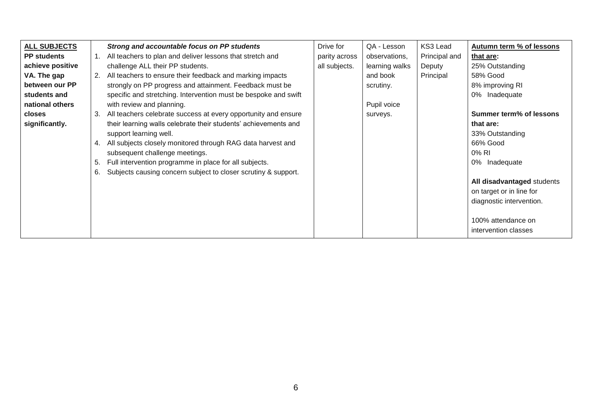| <b>ALL SUBJECTS</b> |    | Strong and accountable focus on PP students                     | Drive for     | QA - Lesson    | KS3 Lead      | Autumn term % of lessons       |
|---------------------|----|-----------------------------------------------------------------|---------------|----------------|---------------|--------------------------------|
| <b>PP</b> students  |    | All teachers to plan and deliver lessons that stretch and       | parity across | observations,  | Principal and | that are:                      |
| achieve positive    |    | challenge ALL their PP students.                                | all subjects. | learning walks | Deputy        | 25% Outstanding                |
| VA. The gap         | 2. | All teachers to ensure their feedback and marking impacts       |               | and book       | Principal     | 58% Good                       |
| between our PP      |    | strongly on PP progress and attainment. Feedback must be        |               | scrutiny.      |               | 8% improving RI                |
| students and        |    | specific and stretching. Intervention must be bespoke and swift |               |                |               | 0% Inadequate                  |
| national others     |    | with review and planning.                                       |               | Pupil voice    |               |                                |
| closes              | 3. | All teachers celebrate success at every opportunity and ensure  |               | surveys.       |               | <b>Summer term% of lessons</b> |
| significantly.      |    | their learning walls celebrate their students' achievements and |               |                |               | that are:                      |
|                     |    | support learning well.                                          |               |                |               | 33% Outstanding                |
|                     |    | All subjects closely monitored through RAG data harvest and     |               |                |               | 66% Good                       |
|                     |    | subsequent challenge meetings.                                  |               |                |               | 0% RI                          |
|                     | 5. | Full intervention programme in place for all subjects.          |               |                |               | 0% Inadequate                  |
|                     | 6. | Subjects causing concern subject to closer scrutiny & support.  |               |                |               |                                |
|                     |    |                                                                 |               |                |               | All disadvantaged students     |
|                     |    |                                                                 |               |                |               | on target or in line for       |
|                     |    |                                                                 |               |                |               | diagnostic intervention.       |
|                     |    |                                                                 |               |                |               |                                |
|                     |    |                                                                 |               |                |               | 100% attendance on             |
|                     |    |                                                                 |               |                |               | intervention classes           |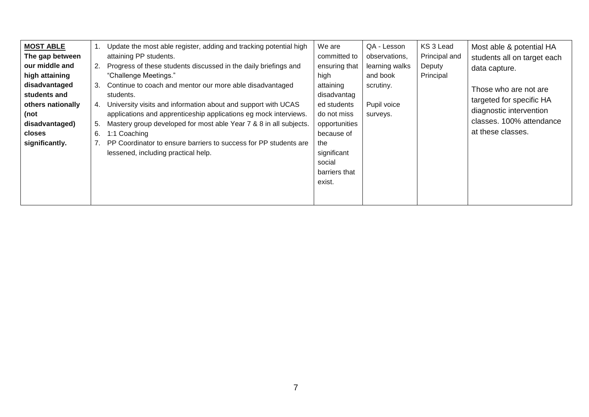| <b>MOST ABLE</b><br>The gap between<br>our middle and<br>high attaining<br>disadvantaged<br>students and<br>others nationally<br>(not<br>disadvantaged)<br>closes<br>significantly. | Update the most able register, adding and tracking potential high<br>1.<br>attaining PP students.<br>Progress of these students discussed in the daily briefings and<br>2.<br>"Challenge Meetings."<br>Continue to coach and mentor our more able disadvantaged<br>3.<br>students.<br>University visits and information about and support with UCAS<br>4.<br>applications and apprenticeship applications eg mock interviews.<br>Mastery group developed for most able Year 7 & 8 in all subjects.<br>5.<br>1:1 Coaching<br>6.<br>PP Coordinator to ensure barriers to success for PP students are<br>lessened, including practical help. | We are<br>QA - Lesson<br>committed to<br>observations,<br>learning walks<br>ensuring that<br>and book<br>high<br>attaining<br>scrutiny.<br>disadvantag<br>ed students<br>Pupil voice<br>do not miss<br>surveys.<br>opportunities<br>because of<br>the<br>significant<br>social<br>barriers that<br>exist. | KS 3 Lead<br>Most able & potential HA<br>Principal and<br>students all on target each<br>Deputy<br>data capture.<br>Principal<br>Those who are not are<br>targeted for specific HA<br>diagnostic intervention<br>classes. 100% attendance<br>at these classes. |
|-------------------------------------------------------------------------------------------------------------------------------------------------------------------------------------|-------------------------------------------------------------------------------------------------------------------------------------------------------------------------------------------------------------------------------------------------------------------------------------------------------------------------------------------------------------------------------------------------------------------------------------------------------------------------------------------------------------------------------------------------------------------------------------------------------------------------------------------|-----------------------------------------------------------------------------------------------------------------------------------------------------------------------------------------------------------------------------------------------------------------------------------------------------------|----------------------------------------------------------------------------------------------------------------------------------------------------------------------------------------------------------------------------------------------------------------|
|-------------------------------------------------------------------------------------------------------------------------------------------------------------------------------------|-------------------------------------------------------------------------------------------------------------------------------------------------------------------------------------------------------------------------------------------------------------------------------------------------------------------------------------------------------------------------------------------------------------------------------------------------------------------------------------------------------------------------------------------------------------------------------------------------------------------------------------------|-----------------------------------------------------------------------------------------------------------------------------------------------------------------------------------------------------------------------------------------------------------------------------------------------------------|----------------------------------------------------------------------------------------------------------------------------------------------------------------------------------------------------------------------------------------------------------------|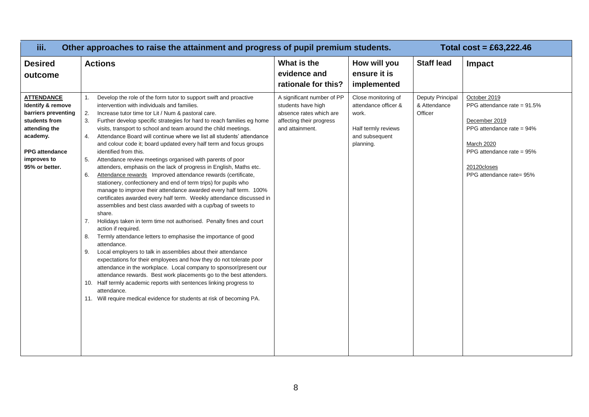| iii.                                                                                                                                                                  | Other approaches to raise the attainment and progress of pupil premium students.                                                                                                                                                                                                                                                                                                                                                                                                                                                                                                                                                                                                                                                                                                                                                                                                                                                                                                                                                                                                                                                                                                                                                                                                                                                                                                                                                                                                                                                                                                                                                                                              |                                                                                                                            |                                                                                                            |                                             | Total $cost = £63,222.46$                                                                                                                                                                      |
|-----------------------------------------------------------------------------------------------------------------------------------------------------------------------|-------------------------------------------------------------------------------------------------------------------------------------------------------------------------------------------------------------------------------------------------------------------------------------------------------------------------------------------------------------------------------------------------------------------------------------------------------------------------------------------------------------------------------------------------------------------------------------------------------------------------------------------------------------------------------------------------------------------------------------------------------------------------------------------------------------------------------------------------------------------------------------------------------------------------------------------------------------------------------------------------------------------------------------------------------------------------------------------------------------------------------------------------------------------------------------------------------------------------------------------------------------------------------------------------------------------------------------------------------------------------------------------------------------------------------------------------------------------------------------------------------------------------------------------------------------------------------------------------------------------------------------------------------------------------------|----------------------------------------------------------------------------------------------------------------------------|------------------------------------------------------------------------------------------------------------|---------------------------------------------|------------------------------------------------------------------------------------------------------------------------------------------------------------------------------------------------|
| <b>Desired</b><br>outcome                                                                                                                                             | <b>Actions</b>                                                                                                                                                                                                                                                                                                                                                                                                                                                                                                                                                                                                                                                                                                                                                                                                                                                                                                                                                                                                                                                                                                                                                                                                                                                                                                                                                                                                                                                                                                                                                                                                                                                                | What is the<br>evidence and<br>rationale for this?                                                                         | How will you<br>ensure it is<br>implemented                                                                | <b>Staff lead</b>                           | Impact                                                                                                                                                                                         |
| <b>ATTENDANCE</b><br>Identify & remove<br>barriers preventing<br>students from<br>attending the<br>academy.<br><b>PPG</b> attendance<br>improves to<br>95% or better. | 1.<br>Develop the role of the form tutor to support swift and proactive<br>intervention with individuals and families.<br>2.<br>Increase tutor time tor Lit / Num & pastoral care.<br>3.<br>Further develop specific strategies for hard to reach families eg home<br>visits, transport to school and team around the child meetings.<br>Attendance Board will continue where we list all students' attendance<br>4.<br>and colour code it; board updated every half term and focus groups<br>identified from this.<br>Attendance review meetings organised with parents of poor<br>5.<br>attenders, emphasis on the lack of progress in English, Maths etc.<br>Attendance rewards Improved attendance rewards (certificate,<br>6.<br>stationery, confectionery and end of term trips) for pupils who<br>manage to improve their attendance awarded every half term. 100%<br>certificates awarded every half term. Weekly attendance discussed in<br>assemblies and best class awarded with a cup/bag of sweets to<br>share.<br>7.<br>Holidays taken in term time not authorised. Penalty fines and court<br>action if required.<br>Termly attendance letters to emphasise the importance of good<br>8.<br>attendance.<br>Local employers to talk in assemblies about their attendance<br>9.<br>expectations for their employees and how they do not tolerate poor<br>attendance in the workplace. Local company to sponsor/present our<br>attendance rewards. Best work placements go to the best attenders.<br>10. Half termly academic reports with sentences linking progress to<br>attendance.<br>11. Will require medical evidence for students at risk of becoming PA. | A significant number of PP<br>students have high<br>absence rates which are<br>affecting their progress<br>and attainment. | Close monitoring of<br>attendance officer &<br>work.<br>Half termly reviews<br>and subsequent<br>planning. | Deputy Principal<br>& Attendance<br>Officer | October 2019<br>PPG attendance rate = $91.5\%$<br>December 2019<br>PPG attendance rate = $94\%$<br><b>March 2020</b><br>PPG attendance rate = $95%$<br>20120closes<br>PPG attendance rate= 95% |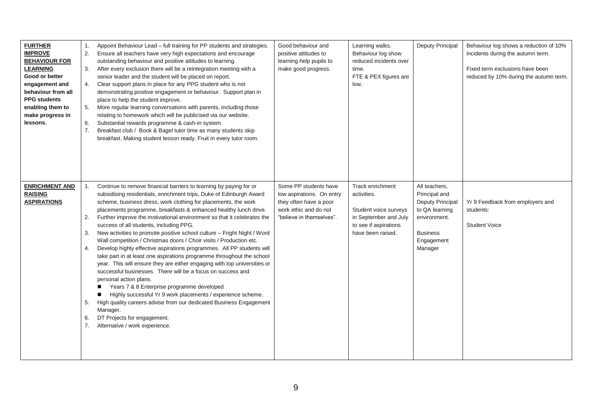| <b>FURTHER</b><br><b>IMPROVE</b><br><b>BEHAVIOUR FOR</b><br><b>LEARNING</b><br>Good or better<br>engagement and<br>behaviour from all<br><b>PPG</b> students<br>enabling them to<br>make progress in<br>lessons. | 1.<br>2.<br>3.<br>4.<br>5.<br>6.<br>7. | Appoint Behaviour Lead - full training for PP students and strategies.<br>Ensure all teachers have very high expectations and encourage<br>outstanding behaviour and positive attitudes to learning.<br>After every exclusion there will be a reintegration meeting with a<br>senior leader and the student will be placed on report.<br>Clear support plans in place for any PPG student who is not<br>demonstrating positive engagement or behaviour. Support plan in<br>place to help the student improve.<br>More regular learning conversations with parents, including those<br>relating to homework which will be publicised via our website.<br>Substantial rewards programme & cash-in system.<br>Breakfast club / Book & Bagel tutor time as many students skip<br>breakfast. Making student lesson ready. Fruit in every tutor room.                                                                                                                                                                                                                                                                                                    | Good behaviour and<br>positive attitudes to<br>learning help pupils to<br>make good progress.                                     | Learning walks.<br>Behaviour log show<br>reduced incidents over<br>time.<br>FTE & PEX figures are<br>low.                       | Deputy Principal                                                                                                                 | Behaviour log shows a reduction of 10%<br>incidents during the autumn term.<br>Fixed term exclusions have been<br>reduced by 10% during the autumn term. |
|------------------------------------------------------------------------------------------------------------------------------------------------------------------------------------------------------------------|----------------------------------------|----------------------------------------------------------------------------------------------------------------------------------------------------------------------------------------------------------------------------------------------------------------------------------------------------------------------------------------------------------------------------------------------------------------------------------------------------------------------------------------------------------------------------------------------------------------------------------------------------------------------------------------------------------------------------------------------------------------------------------------------------------------------------------------------------------------------------------------------------------------------------------------------------------------------------------------------------------------------------------------------------------------------------------------------------------------------------------------------------------------------------------------------------|-----------------------------------------------------------------------------------------------------------------------------------|---------------------------------------------------------------------------------------------------------------------------------|----------------------------------------------------------------------------------------------------------------------------------|----------------------------------------------------------------------------------------------------------------------------------------------------------|
| <b>ENRICHMENT AND</b><br><b>RAISING</b><br><b>ASPIRATIONS</b>                                                                                                                                                    | 1.<br>2.<br>3.<br>4.<br>5.<br>6.<br>7. | Continue to remove financial barriers to learning by paying for or<br>subsidising residentials, enrichment trips, Duke of Edinburgh Award<br>scheme, business dress, work clothing for placements, the work<br>placements programme, breakfasts & enhanced healthy lunch drive.<br>Further improve the motivational environment so that it celebrates the<br>success of all students, including PPG.<br>New activities to promote positive school culture - Fright Night / Word<br>Wall competition / Christmas doors / Choir visits / Production etc.<br>Develop highly effective aspirations programmes. All PP students will<br>take part in at least one aspirations programme throughout the school<br>year. This will ensure they are either engaging with top universities or<br>successful businesses. There will be a focus on success and<br>personal action plans.<br>Years 7 & 8 Enterprise programme developed<br>Highly successful Yr 9 work placements / experience scheme.<br>ш<br>High quality careers advise from our dedicated Business Engagement<br>Manager.<br>DT Projects for engagement.<br>Alternative / work experience. | Some PP students have<br>low aspirations. On entry<br>they often have a poor<br>work ethic and do not<br>"believe in themselves". | Track enrichment<br>activities.<br>Student voice surveys<br>in September and July<br>to see if aspirations<br>have been raised. | All teachers,<br>Principal and<br>Deputy Principal<br>to QA learning<br>environment.<br><b>Business</b><br>Engagement<br>Manager | Yr 9 Feedback from employers and<br>students:<br><b>Student Voice</b>                                                                                    |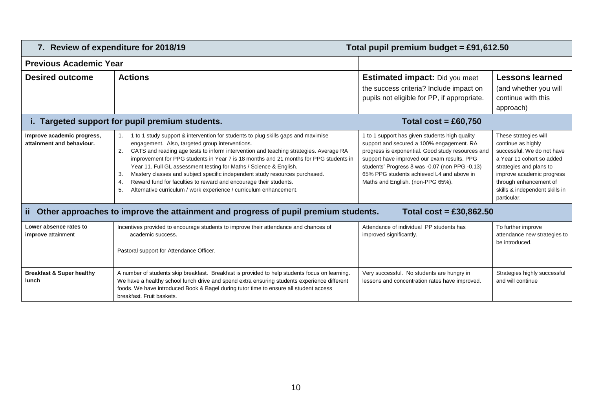|                                                         | 7. Review of expenditure for 2018/19<br>Total pupil premium budget = £91,612.50                                                                                                                                                                                                                                                                                                                                                                                                                                                                                                                                                           |                                                                                                                                                                                                                                                                                                                                     |                                                                                                                                                                                                                                           |  |  |  |  |
|---------------------------------------------------------|-------------------------------------------------------------------------------------------------------------------------------------------------------------------------------------------------------------------------------------------------------------------------------------------------------------------------------------------------------------------------------------------------------------------------------------------------------------------------------------------------------------------------------------------------------------------------------------------------------------------------------------------|-------------------------------------------------------------------------------------------------------------------------------------------------------------------------------------------------------------------------------------------------------------------------------------------------------------------------------------|-------------------------------------------------------------------------------------------------------------------------------------------------------------------------------------------------------------------------------------------|--|--|--|--|
| <b>Previous Academic Year</b>                           |                                                                                                                                                                                                                                                                                                                                                                                                                                                                                                                                                                                                                                           |                                                                                                                                                                                                                                                                                                                                     |                                                                                                                                                                                                                                           |  |  |  |  |
| <b>Desired outcome</b>                                  | <b>Actions</b>                                                                                                                                                                                                                                                                                                                                                                                                                                                                                                                                                                                                                            | <b>Estimated impact:</b> Did you meet<br>the success criteria? Include impact on<br>pupils not eligible for PP, if appropriate.                                                                                                                                                                                                     | <b>Lessons learned</b><br>(and whether you will<br>continue with this<br>approach)                                                                                                                                                        |  |  |  |  |
|                                                         | i. Targeted support for pupil premium students.                                                                                                                                                                                                                                                                                                                                                                                                                                                                                                                                                                                           | Total cost = £60,750                                                                                                                                                                                                                                                                                                                |                                                                                                                                                                                                                                           |  |  |  |  |
| Improve academic progress,<br>attainment and behaviour. | 1 to 1 study support & intervention for students to plug skills gaps and maximise<br>engagement. Also, targeted group interventions.<br>CATS and reading age tests to inform intervention and teaching strategies. Average RA<br>improvement for PPG students in Year 7 is 18 months and 21 months for PPG students in<br>Year 11. Full GL assessment testing for Maths / Science & English.<br>Mastery classes and subject specific independent study resources purchased.<br>-3.<br>Reward fund for faculties to reward and encourage their students.<br>4.<br>5.<br>Alternative curriculum / work experience / curriculum enhancement. | 1 to 1 support has given students high quality<br>support and secured a 100% engagement. RA<br>progress is exponential. Good study resources and<br>support have improved our exam results. PPG<br>students' Progress 8 was -0.07 (non PPG -0.13)<br>65% PPG students achieved L4 and above in<br>Maths and English. (non-PPG 65%). | These strategies will<br>continue as highly<br>successful. We do not have<br>a Year 11 cohort so added<br>strategies and plans to<br>improve academic progress<br>through enhancement of<br>skills & independent skills in<br>particular. |  |  |  |  |
| ii l                                                    | Other approaches to improve the attainment and progress of pupil premium students.                                                                                                                                                                                                                                                                                                                                                                                                                                                                                                                                                        | Total $cost = £30,862.50$                                                                                                                                                                                                                                                                                                           |                                                                                                                                                                                                                                           |  |  |  |  |
| Lower absence rates to<br>improve attainment            | Incentives provided to encourage students to improve their attendance and chances of<br>academic success.<br>Pastoral support for Attendance Officer.                                                                                                                                                                                                                                                                                                                                                                                                                                                                                     | Attendance of individual PP students has<br>improved significantly.                                                                                                                                                                                                                                                                 | To further improve<br>attendance new strategies to<br>be introduced.                                                                                                                                                                      |  |  |  |  |
| <b>Breakfast &amp; Super healthy</b><br>lunch           | A number of students skip breakfast. Breakfast is provided to help students focus on learning.<br>We have a healthy school lunch drive and spend extra ensuring students experience different<br>foods. We have introduced Book & Bagel during tutor time to ensure all student access<br>breakfast. Fruit baskets.                                                                                                                                                                                                                                                                                                                       | Very successful. No students are hungry in<br>lessons and concentration rates have improved.                                                                                                                                                                                                                                        | Strategies highly successful<br>and will continue                                                                                                                                                                                         |  |  |  |  |